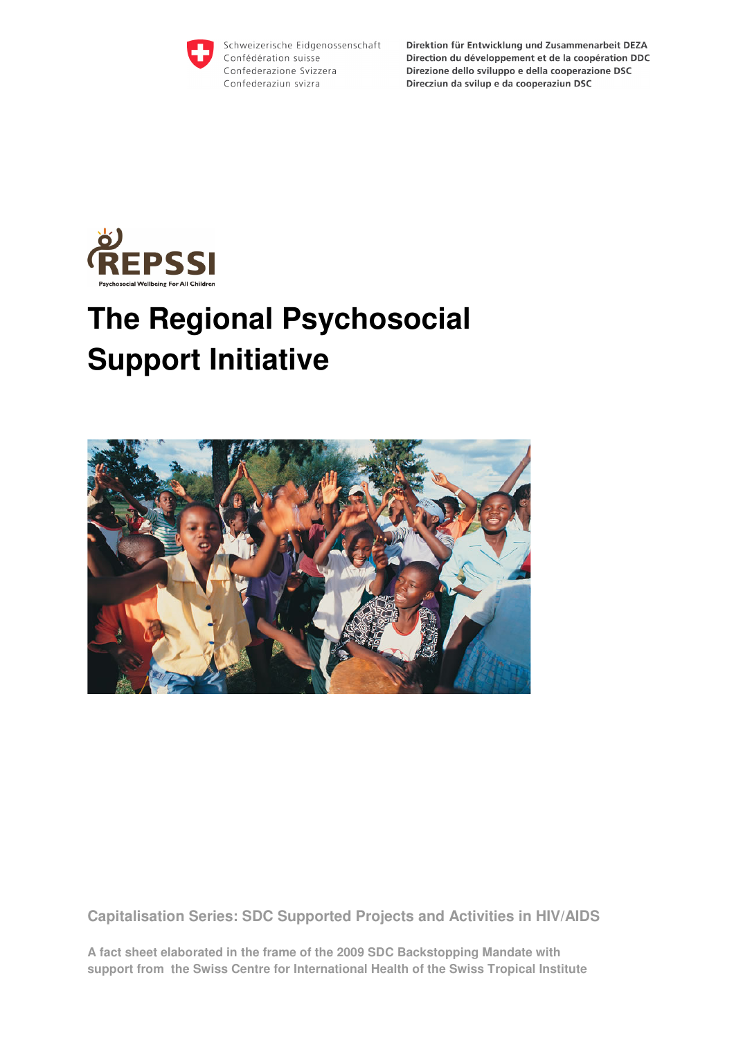

Schweizerische Eidgenossenschaft Confédération suisse Confederazione Svizzera Confederaziun svizra

Direktion für Entwicklung und Zusammenarbeit DEZA Direction du développement et de la coopération DDC Direzione dello sviluppo e della cooperazione DSC Direcziun da svilup e da cooperaziun DSC



# **The Regional Psychosocial Support Initiative**



**Capitalisation Series: SDC Supported Projects and Activities in HIV/AIDS** 

**A fact sheet elaborated in the frame of the 2009 SDC Backstopping Mandate with support from the Swiss Centre for International Health of the Swiss Tropical Institute**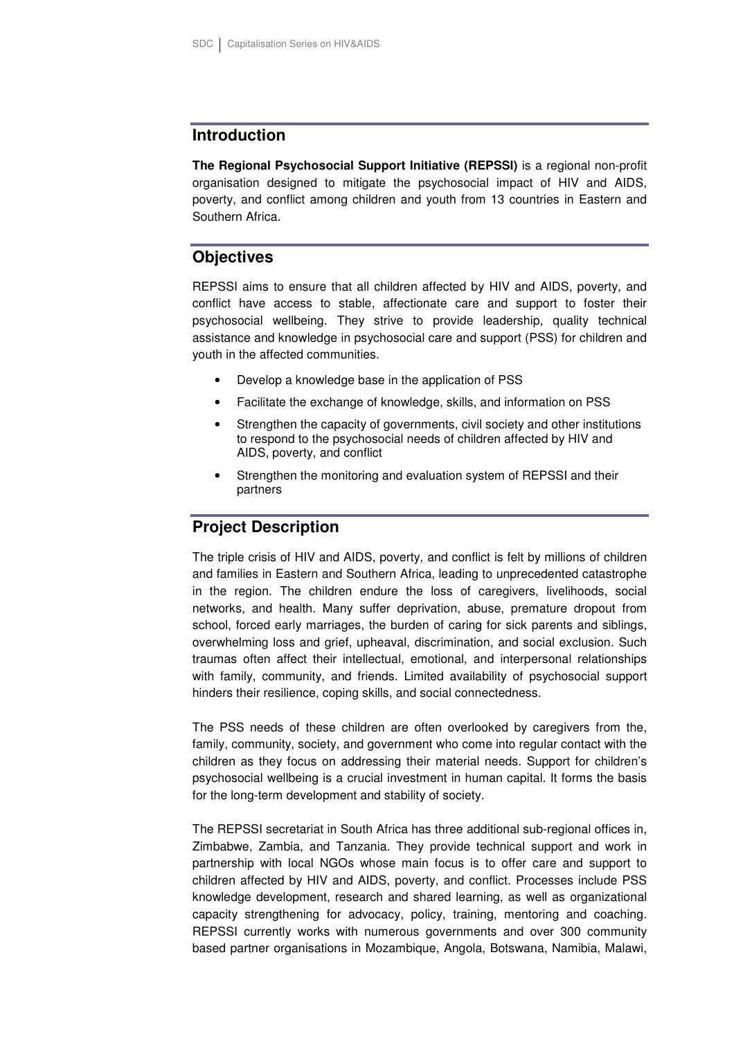#### **Introduction**

**The Regional Psychosocial Support Initiative (REPSSI)** is a regional non-profit organisation designed to mitigate the psychosocial impact of HIV and AIDS, poverty, and conflict among children and youth from 13 countries in Eastern and Southern Africa.

## **Objectives**

REPSSI aims to ensure that all children affected by HIV and AIDS, poverty, and conflict have access to stable, affectionate care and support to foster their psychosocial wellbeing. They strive to provide leadership, quality technical assistance and knowledge in psychosocial care and support (PSS) for children and youth in the affected communities.

- Develop a knowledge base in the application of PSS
- Facilitate the exchange of knowledge, skills, and information on PSS
- Strengthen the capacity of governments, civil society and other institutions to respond to the psychosocial needs of children affected by HIV and AIDS, poverty, and conflict
- Strengthen the monitoring and evaluation system of REPSSI and their partners

## **Project Description**

The triple crisis of HIV and AIDS, poverty, and conflict is felt by millions of children and families in Eastern and Southern Africa, leading to unprecedented catastrophe in the region. The children endure the loss of caregivers, livelihoods, social networks, and health. Many suffer deprivation, abuse, premature dropout from school, forced early marriages, the burden of caring for sick parents and siblings, overwhelming loss and grief, upheaval, discrimination, and social exclusion. Such traumas often affect their intellectual, emotional, and interpersonal relationships with family, community, and friends. Limited availability of psychosocial support hinders their resilience, coping skills, and social connectedness.

The PSS needs of these children are often overlooked by caregivers from the, family, community, society, and government who come into regular contact with the children as they focus on addressing their material needs. Support for children's psychosocial wellbeing is a crucial investment in human capital. It forms the basis for the long-term development and stability of society.

The REPSSI secretariat in South Africa has three additional sub-regional offices in, Zimbabwe, Zambia, and Tanzania. They provide technical support and work in partnership with local NGOs whose main focus is to offer care and support to children affected by HIV and AIDS, poverty, and conflict. Processes include PSS knowledge development, research and shared learning, as well as organizational capacity strengthening for advocacy, policy, training, mentoring and coaching. REPSSI currently works with numerous governments and over 300 community based partner organisations in Mozambique, Angola, Botswana, Namibia, Malawi,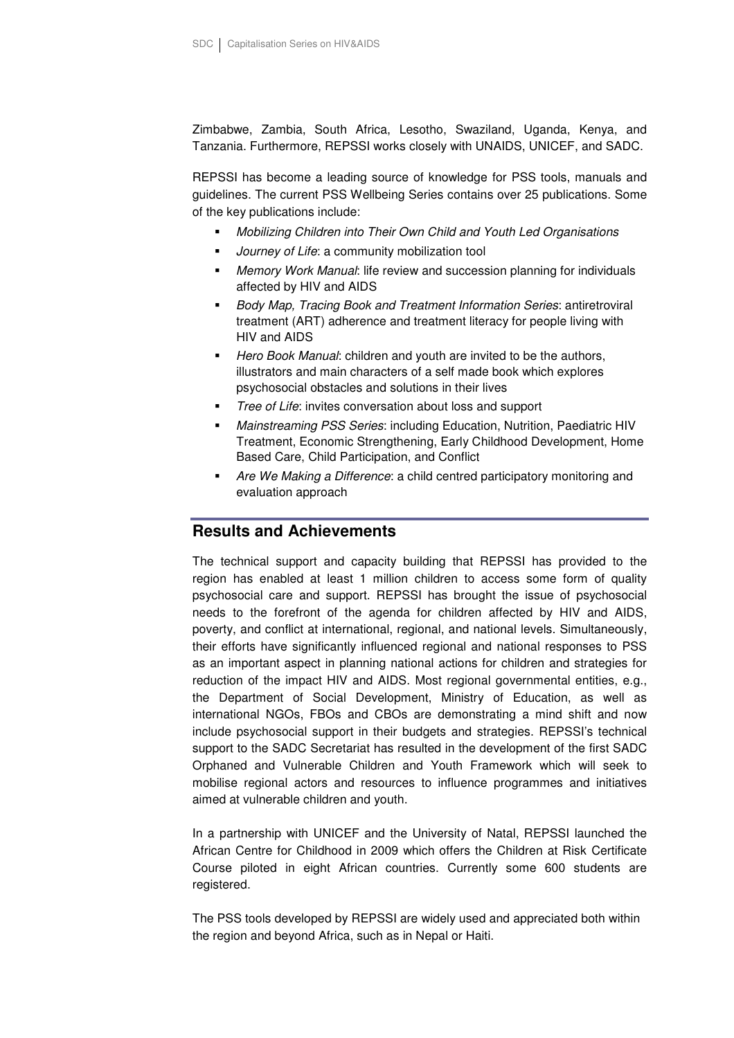Zimbabwe, Zambia, South Africa, Lesotho, Swaziland, Uganda, Kenya, and Tanzania. Furthermore, REPSSI works closely with UNAIDS, UNICEF, and SADC.

REPSSI has become a leading source of knowledge for PSS tools, manuals and guidelines. The current PSS Wellbeing Series contains over 25 publications. Some of the key publications include:

- Mobilizing Children into Their Own Child and Youth Led Organisations
- **Journey of Life: a community mobilization tool**
- **Memory Work Manual: life review and succession planning for individuals** affected by HIV and AIDS
- Body Map, Tracing Book and Treatment Information Series: antiretroviral treatment (ART) adherence and treatment literacy for people living with HIV and AIDS
- Hero Book Manual: children and youth are invited to be the authors, illustrators and main characters of a self made book which explores psychosocial obstacles and solutions in their lives
- Tree of Life: invites conversation about loss and support
- Mainstreaming PSS Series: including Education, Nutrition, Paediatric HIV Treatment, Economic Strengthening, Early Childhood Development, Home Based Care, Child Participation, and Conflict
- Are We Making a Difference: a child centred participatory monitoring and evaluation approach

#### **Results and Achievements**

The technical support and capacity building that REPSSI has provided to the region has enabled at least 1 million children to access some form of quality psychosocial care and support. REPSSI has brought the issue of psychosocial needs to the forefront of the agenda for children affected by HIV and AIDS, poverty, and conflict at international, regional, and national levels. Simultaneously, their efforts have significantly influenced regional and national responses to PSS as an important aspect in planning national actions for children and strategies for reduction of the impact HIV and AIDS. Most regional governmental entities, e.g., the Department of Social Development, Ministry of Education, as well as international NGOs, FBOs and CBOs are demonstrating a mind shift and now include psychosocial support in their budgets and strategies. REPSSI's technical support to the SADC Secretariat has resulted in the development of the first SADC Orphaned and Vulnerable Children and Youth Framework which will seek to mobilise regional actors and resources to influence programmes and initiatives aimed at vulnerable children and youth.

In a partnership with UNICEF and the University of Natal, REPSSI launched the African Centre for Childhood in 2009 which offers the Children at Risk Certificate Course piloted in eight African countries. Currently some 600 students are registered.

The PSS tools developed by REPSSI are widely used and appreciated both within the region and beyond Africa, such as in Nepal or Haiti.